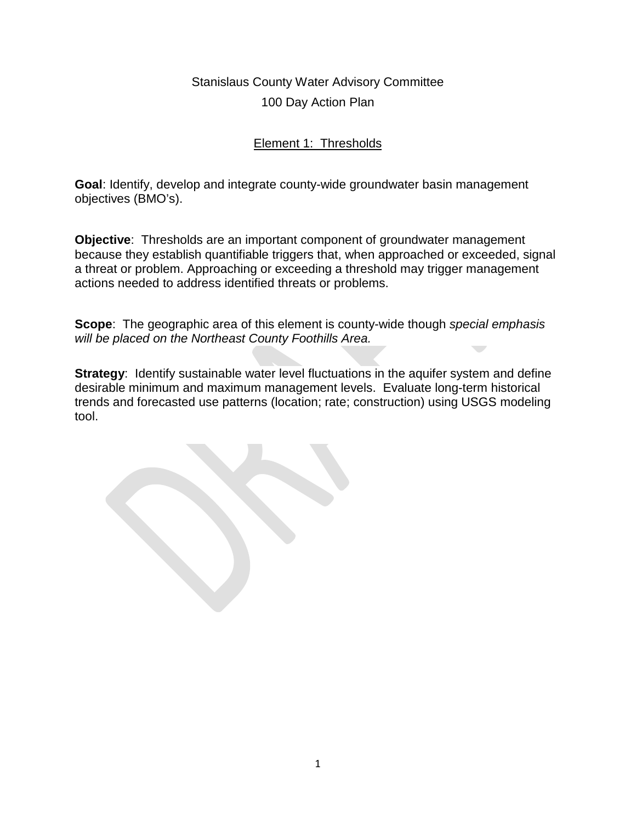### Element 1: Thresholds

**Goal**: Identify, develop and integrate county-wide groundwater basin management objectives (BMO's).

**Objective**: Thresholds are an important component of groundwater management because they establish quantifiable triggers that, when approached or exceeded, signal a threat or problem. Approaching or exceeding a threshold may trigger management actions needed to address identified threats or problems.

**Scope**: The geographic area of this element is county-wide though *special emphasis will be placed on the Northeast County Foothills Area.*

**Strategy:** Identify sustainable water level fluctuations in the aquifer system and define desirable minimum and maximum management levels. Evaluate long-term historical trends and forecasted use patterns (location; rate; construction) using USGS modeling tool.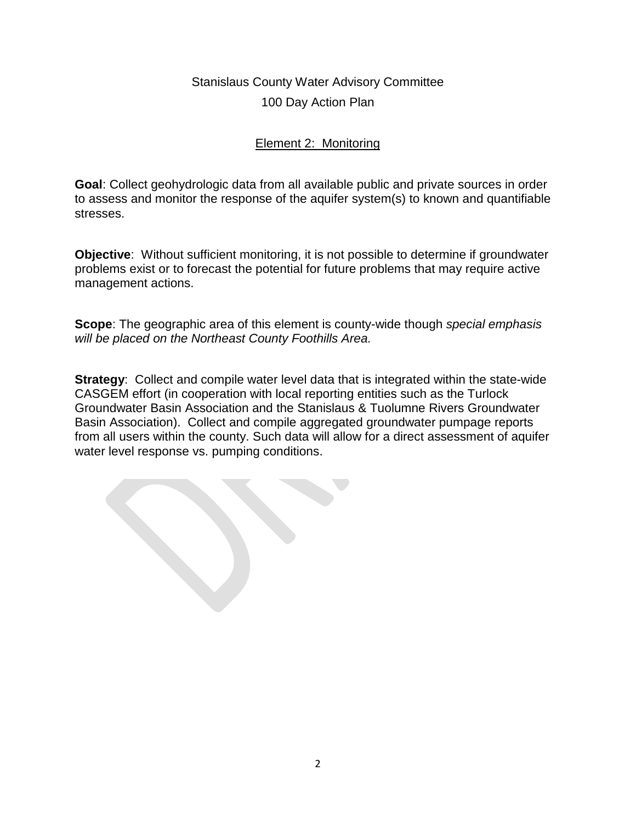### Element 2: Monitoring

**Goal**: Collect geohydrologic data from all available public and private sources in order to assess and monitor the response of the aquifer system(s) to known and quantifiable stresses.

**Objective**: Without sufficient monitoring, it is not possible to determine if groundwater problems exist or to forecast the potential for future problems that may require active management actions.

**Scope**: The geographic area of this element is county-wide though *special emphasis will be placed on the Northeast County Foothills Area.*

**Strategy**: Collect and compile water level data that is integrated within the state-wide CASGEM effort (in cooperation with local reporting entities such as the Turlock Groundwater Basin Association and the Stanislaus & Tuolumne Rivers Groundwater Basin Association). Collect and compile aggregated groundwater pumpage reports from all users within the county. Such data will allow for a direct assessment of aquifer water level response vs. pumping conditions.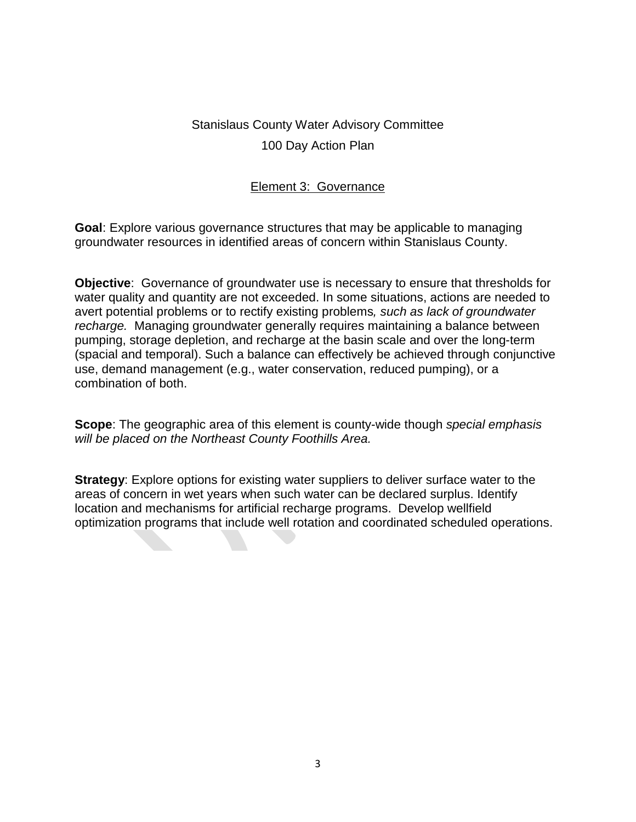### Element 3: Governance

**Goal**: Explore various governance structures that may be applicable to managing groundwater resources in identified areas of concern within Stanislaus County.

**Objective**: Governance of groundwater use is necessary to ensure that thresholds for water quality and quantity are not exceeded. In some situations, actions are needed to avert potential problems or to rectify existing problems*, such as lack of groundwater recharge.* Managing groundwater generally requires maintaining a balance between pumping, storage depletion, and recharge at the basin scale and over the long-term (spacial and temporal). Such a balance can effectively be achieved through conjunctive use, demand management (e.g., water conservation, reduced pumping), or a combination of both.

**Scope**: The geographic area of this element is county-wide though *special emphasis will be placed on the Northeast County Foothills Area.*

**Strategy:** Explore options for existing water suppliers to deliver surface water to the areas of concern in wet years when such water can be declared surplus. Identify location and mechanisms for artificial recharge programs. Develop wellfield optimization programs that include well rotation and coordinated scheduled operations.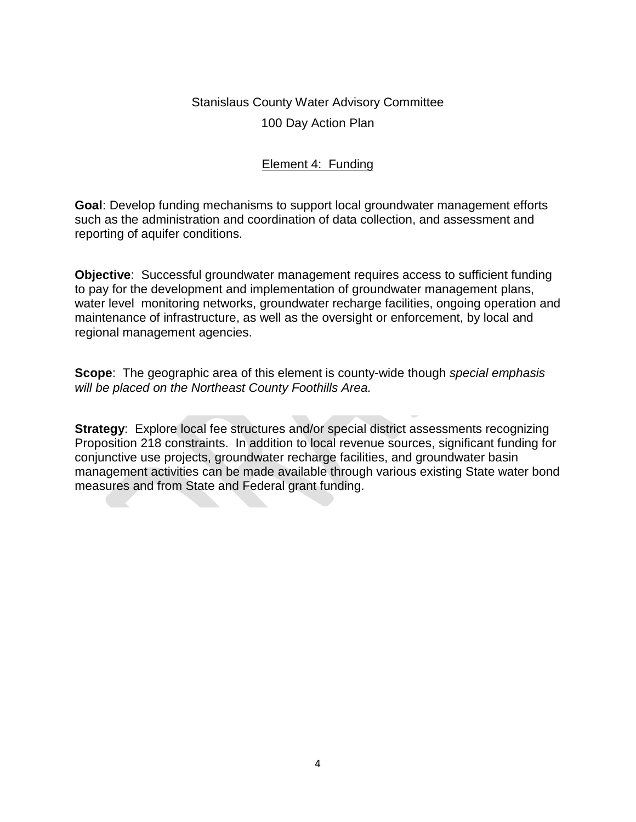#### Element 4: Funding

**Goal**: Develop funding mechanisms to support local groundwater management efforts such as the administration and coordination of data collection, and assessment and reporting of aquifer conditions.

**Objective**: Successful groundwater management requires access to sufficient funding to pay for the development and implementation of groundwater management plans, water level monitoring networks, groundwater recharge facilities, ongoing operation and maintenance of infrastructure, as well as the oversight or enforcement, by local and regional management agencies.

**Scope**: The geographic area of this element is county-wide though *special emphasis will be placed on the Northeast County Foothills Area.*

**Strategy:** Explore local fee structures and/or special district assessments recognizing Proposition 218 constraints. In addition to local revenue sources, significant funding for conjunctive use projects, groundwater recharge facilities, and groundwater basin management activities can be made available through various existing State water bond measures and from State and Federal grant funding.